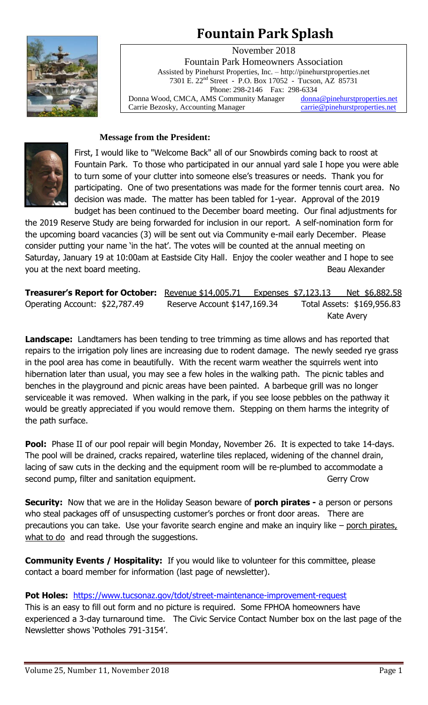# **Fountain Park Splash**



November 2018 Fountain Park Homeowners Association Assisted by Pinehurst Properties, Inc. – http://pinehurstproperties.net 7301 E. 22nd Street - P.O. Box 17052 - Tucson, AZ 85731 Phone: 298-2146 Fax: 298-6334 Donna Wood, CMCA, AMS Community Manager [donna@pinehurstproperties.net](mailto:donna@pinehurstproperties.net) Carrie Bezosky, Accounting Manager [carrie@pinehurstproperties.net](mailto:carrie@pinehurstproperties.net)

# **Message from the President:**



First, I would like to "Welcome Back" all of our Snowbirds coming back to roost at Fountain Park. To those who participated in our annual yard sale I hope you were able to turn some of your clutter into someone else's treasures or needs. Thank you for participating. One of two presentations was made for the former tennis court area. No decision was made. The matter has been tabled for 1-year. Approval of the 2019 budget has been continued to the December board meeting. Our final adjustments for

the 2019 Reserve Study are being forwarded for inclusion in our report. A self-nomination form for the upcoming board vacancies (3) will be sent out via Community e-mail early December. Please consider putting your name 'in the hat'. The votes will be counted at the annual meeting on Saturday, January 19 at 10:00am at Eastside City Hall. Enjoy the cooler weather and I hope to see you at the next board meeting. The second second second second second second second second second second second second second second second second second second second second second second second second second second secon

**Treasurer's Report for October:** Revenue \$14,005.71 Expenses \$7,123.13 Net \$6,882.58 Operating Account: \$22,787.49 Reserve Account \$147,169.34 Total Assets: \$169,956.83 Kate Avery

**Landscape:** Landtamers has been tending to tree trimming as time allows and has reported that repairs to the irrigation poly lines are increasing due to rodent damage. The newly seeded rye grass in the pool area has come in beautifully. With the recent warm weather the squirrels went into hibernation later than usual, you may see a few holes in the walking path. The picnic tables and benches in the playground and picnic areas have been painted. A barbeque grill was no longer serviceable it was removed. When walking in the park, if you see loose pebbles on the pathway it would be greatly appreciated if you would remove them. Stepping on them harms the integrity of the path surface.

**Pool:** Phase II of our pool repair will begin Monday, November 26. It is expected to take 14-days. The pool will be drained, cracks repaired, waterline tiles replaced, widening of the channel drain, lacing of saw cuts in the decking and the equipment room will be re-plumbed to accommodate a second pump, filter and sanitation equipment. The second pump, filter and sanitation equipment.

**Security:** Now that we are in the Holiday Season beware of **porch pirates -** a person or persons who steal packages off of unsuspecting customer's porches or front door areas. There are precautions you can take. Use your favorite search engine and make an inquiry like – porch pirates, what to do and read through the suggestions.

**Community Events / Hospitality:** If you would like to volunteer for this committee, please contact a board member for information (last page of newsletter).

# Pot Holes: <https://www.tucsonaz.gov/tdot/street-maintenance-improvement-request>

This is an easy to fill out form and no picture is required. Some FPHOA homeowners have experienced a 3-day turnaround time. The Civic Service Contact Number box on the last page of the Newsletter shows 'Potholes 791-3154'.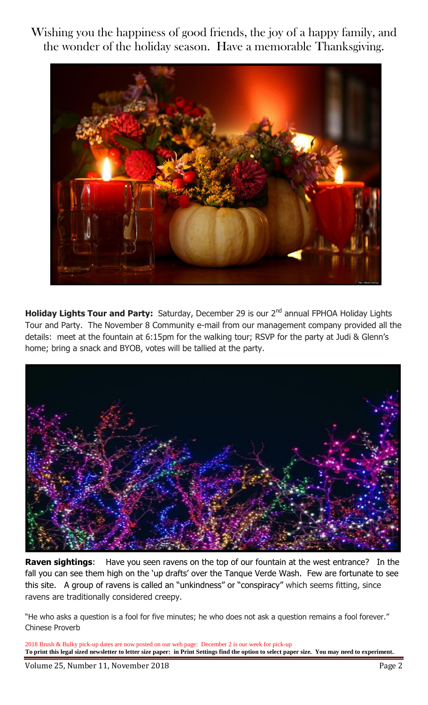Wishing you the happiness of good friends, the joy of a happy family, and the wonder of the holiday season. Have a memorable Thanksgiving.



**Holiday Lights Tour and Party:** Saturday, December 29 is our 2<sup>nd</sup> annual FPHOA Holiday Lights Tour and Party. The November 8 Community e-mail from our management company provided all the details: meet at the fountain at 6:15pm for the walking tour; RSVP for the party at Judi & Glenn's home; bring a snack and BYOB, votes will be tallied at the party.



**Raven sightings:** Have you seen ravens on the top of our fountain at the west entrance? In the fall you can see them high on the 'up drafts' over the Tanque Verde Wash. Few are fortunate to see this site. A group of ravens is called an "unkindness" or "conspiracy" which seems fitting, since ravens are traditionally considered creepy.

"He who asks a question is a fool for five minutes; he who does not ask a question remains a fool forever." Chinese Proverb

2018 Brush & Bulky pick-up dates are now posted on our web page: December 2 is our week for pick-up **To print this legal sized newsletter to letter size paper: in Print Settings find the option to select paper size. You may need to experiment.**.